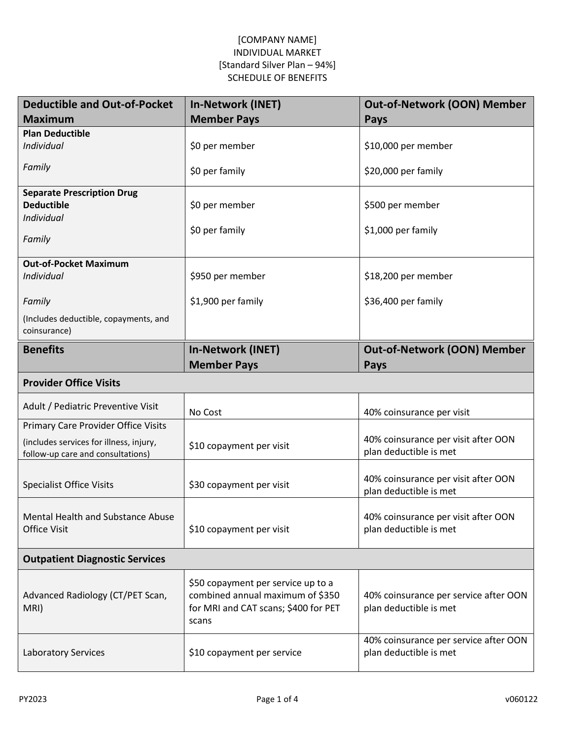| <b>Deductible and Out-of-Pocket</b>                                                                                 | <b>In-Network (INET)</b>                                                                                                | <b>Out-of-Network (OON) Member</b>                              |
|---------------------------------------------------------------------------------------------------------------------|-------------------------------------------------------------------------------------------------------------------------|-----------------------------------------------------------------|
| <b>Maximum</b>                                                                                                      | <b>Member Pays</b>                                                                                                      | Pays                                                            |
| <b>Plan Deductible</b><br>Individual                                                                                | \$0 per member                                                                                                          | \$10,000 per member                                             |
| Family                                                                                                              | \$0 per family                                                                                                          | \$20,000 per family                                             |
| <b>Separate Prescription Drug</b><br><b>Deductible</b><br>Individual<br>Family                                      | \$0 per member<br>\$0 per family                                                                                        | \$500 per member<br>\$1,000 per family                          |
| <b>Out-of-Pocket Maximum</b><br>Individual                                                                          | \$950 per member                                                                                                        | \$18,200 per member                                             |
| Family                                                                                                              | \$1,900 per family                                                                                                      | \$36,400 per family                                             |
| (Includes deductible, copayments, and<br>coinsurance)                                                               |                                                                                                                         |                                                                 |
| <b>Benefits</b>                                                                                                     | <b>In-Network (INET)</b><br><b>Member Pays</b>                                                                          | <b>Out-of-Network (OON) Member</b><br>Pays                      |
| <b>Provider Office Visits</b>                                                                                       |                                                                                                                         |                                                                 |
| Adult / Pediatric Preventive Visit                                                                                  | No Cost                                                                                                                 | 40% coinsurance per visit                                       |
| Primary Care Provider Office Visits<br>(includes services for illness, injury,<br>follow-up care and consultations) | \$10 copayment per visit                                                                                                | 40% coinsurance per visit after OON<br>plan deductible is met   |
| <b>Specialist Office Visits</b>                                                                                     | \$30 copayment per visit                                                                                                | 40% coinsurance per visit after OON<br>plan deductible is met   |
| Mental Health and Substance Abuse<br><b>Office Visit</b>                                                            | \$10 copayment per visit                                                                                                | 40% coinsurance per visit after OON<br>plan deductible is met   |
| <b>Outpatient Diagnostic Services</b>                                                                               |                                                                                                                         |                                                                 |
| Advanced Radiology (CT/PET Scan,<br>MRI)                                                                            | \$50 copayment per service up to a<br>combined annual maximum of \$350<br>for MRI and CAT scans; \$400 for PET<br>scans | 40% coinsurance per service after OON<br>plan deductible is met |
| Laboratory Services                                                                                                 | \$10 copayment per service                                                                                              | 40% coinsurance per service after OON<br>plan deductible is met |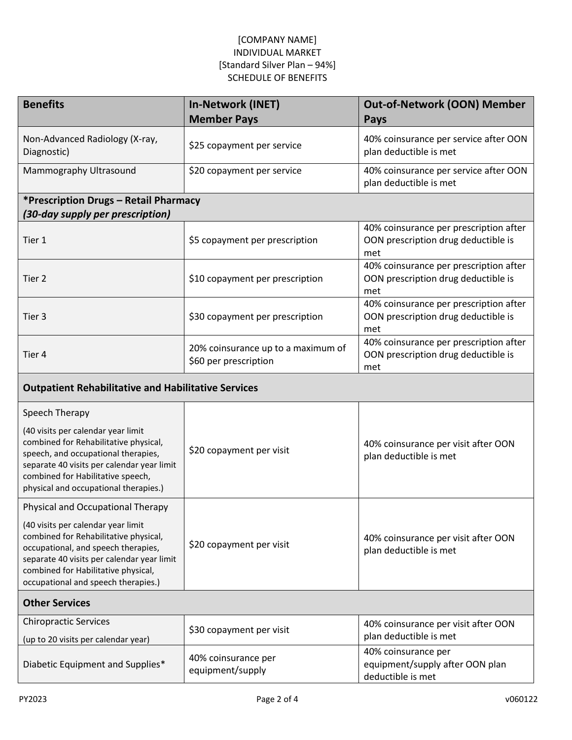| <b>Benefits</b>                                                                                                                                                                                                                                                                     | <b>In-Network (INET)</b><br><b>Member Pays</b>              | <b>Out-of-Network (OON) Member</b><br>Pays                                           |  |  |
|-------------------------------------------------------------------------------------------------------------------------------------------------------------------------------------------------------------------------------------------------------------------------------------|-------------------------------------------------------------|--------------------------------------------------------------------------------------|--|--|
| Non-Advanced Radiology (X-ray,<br>Diagnostic)                                                                                                                                                                                                                                       | \$25 copayment per service                                  | 40% coinsurance per service after OON<br>plan deductible is met                      |  |  |
| Mammography Ultrasound                                                                                                                                                                                                                                                              | \$20 copayment per service                                  | 40% coinsurance per service after OON<br>plan deductible is met                      |  |  |
| *Prescription Drugs - Retail Pharmacy<br>(30-day supply per prescription)                                                                                                                                                                                                           |                                                             |                                                                                      |  |  |
| Tier 1                                                                                                                                                                                                                                                                              | \$5 copayment per prescription                              | 40% coinsurance per prescription after<br>OON prescription drug deductible is<br>met |  |  |
| Tier 2                                                                                                                                                                                                                                                                              | \$10 copayment per prescription                             | 40% coinsurance per prescription after<br>OON prescription drug deductible is<br>met |  |  |
| Tier 3                                                                                                                                                                                                                                                                              | \$30 copayment per prescription                             | 40% coinsurance per prescription after<br>OON prescription drug deductible is<br>met |  |  |
| Tier 4                                                                                                                                                                                                                                                                              | 20% coinsurance up to a maximum of<br>\$60 per prescription | 40% coinsurance per prescription after<br>OON prescription drug deductible is<br>met |  |  |
| <b>Outpatient Rehabilitative and Habilitative Services</b>                                                                                                                                                                                                                          |                                                             |                                                                                      |  |  |
| Speech Therapy<br>(40 visits per calendar year limit<br>combined for Rehabilitative physical,<br>speech, and occupational therapies,<br>separate 40 visits per calendar year limit<br>combined for Habilitative speech,<br>physical and occupational therapies.)                    | \$20 copayment per visit                                    | 40% coinsurance per visit after OON<br>plan deductible is met                        |  |  |
| Physical and Occupational Therapy<br>(40 visits per calendar year limit<br>combined for Rehabilitative physical,<br>occupational, and speech therapies,<br>separate 40 visits per calendar year limit<br>combined for Habilitative physical,<br>occupational and speech therapies.) | \$20 copayment per visit                                    | 40% coinsurance per visit after OON<br>plan deductible is met                        |  |  |
| <b>Other Services</b>                                                                                                                                                                                                                                                               |                                                             |                                                                                      |  |  |
| <b>Chiropractic Services</b><br>(up to 20 visits per calendar year)                                                                                                                                                                                                                 | \$30 copayment per visit                                    | 40% coinsurance per visit after OON<br>plan deductible is met                        |  |  |
| Diabetic Equipment and Supplies*                                                                                                                                                                                                                                                    | 40% coinsurance per<br>equipment/supply                     | 40% coinsurance per<br>equipment/supply after OON plan<br>deductible is met          |  |  |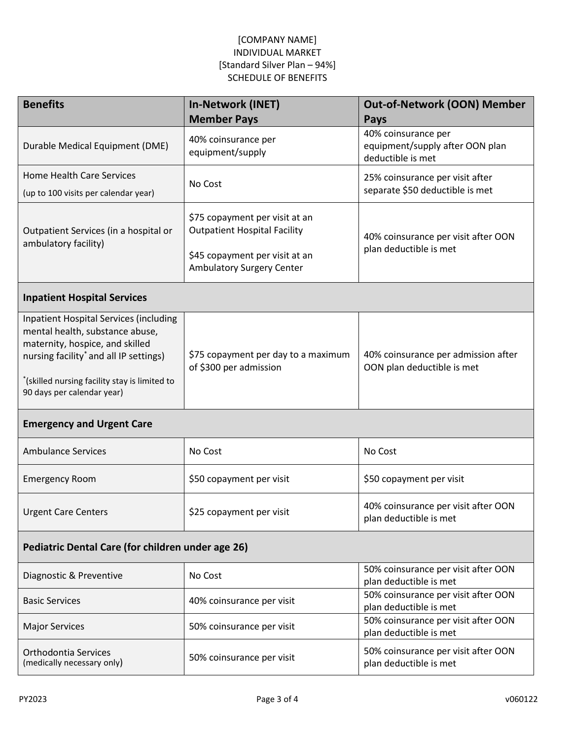| <b>Benefits</b>                                                                                                                                                                                                                                          | <b>In-Network (INET)</b><br><b>Member Pays</b>                                                                                       | <b>Out-of-Network (OON) Member</b><br><b>Pays</b>                           |  |  |
|----------------------------------------------------------------------------------------------------------------------------------------------------------------------------------------------------------------------------------------------------------|--------------------------------------------------------------------------------------------------------------------------------------|-----------------------------------------------------------------------------|--|--|
| Durable Medical Equipment (DME)                                                                                                                                                                                                                          | 40% coinsurance per<br>equipment/supply                                                                                              | 40% coinsurance per<br>equipment/supply after OON plan<br>deductible is met |  |  |
| <b>Home Health Care Services</b><br>(up to 100 visits per calendar year)                                                                                                                                                                                 | No Cost                                                                                                                              | 25% coinsurance per visit after<br>separate \$50 deductible is met          |  |  |
| Outpatient Services (in a hospital or<br>ambulatory facility)                                                                                                                                                                                            | \$75 copayment per visit at an<br><b>Outpatient Hospital Facility</b><br>\$45 copayment per visit at an<br>Ambulatory Surgery Center | 40% coinsurance per visit after OON<br>plan deductible is met               |  |  |
| <b>Inpatient Hospital Services</b>                                                                                                                                                                                                                       |                                                                                                                                      |                                                                             |  |  |
| <b>Inpatient Hospital Services (including</b><br>mental health, substance abuse,<br>maternity, hospice, and skilled<br>nursing facility <sup>*</sup> and all IP settings)<br>*(skilled nursing facility stay is limited to<br>90 days per calendar year) | \$75 copayment per day to a maximum<br>of \$300 per admission                                                                        | 40% coinsurance per admission after<br>OON plan deductible is met           |  |  |
| <b>Emergency and Urgent Care</b>                                                                                                                                                                                                                         |                                                                                                                                      |                                                                             |  |  |
| <b>Ambulance Services</b>                                                                                                                                                                                                                                | No Cost                                                                                                                              | No Cost                                                                     |  |  |
| <b>Emergency Room</b>                                                                                                                                                                                                                                    | \$50 copayment per visit                                                                                                             | \$50 copayment per visit                                                    |  |  |
| <b>Urgent Care Centers</b>                                                                                                                                                                                                                               | \$25 copayment per visit                                                                                                             | 40% coinsurance per visit after OON<br>plan deductible is met               |  |  |
| Pediatric Dental Care (for children under age 26)                                                                                                                                                                                                        |                                                                                                                                      |                                                                             |  |  |
| Diagnostic & Preventive                                                                                                                                                                                                                                  | No Cost                                                                                                                              | 50% coinsurance per visit after OON<br>plan deductible is met               |  |  |
| <b>Basic Services</b>                                                                                                                                                                                                                                    | 40% coinsurance per visit                                                                                                            | 50% coinsurance per visit after OON<br>plan deductible is met               |  |  |
| <b>Major Services</b>                                                                                                                                                                                                                                    | 50% coinsurance per visit                                                                                                            | 50% coinsurance per visit after OON<br>plan deductible is met               |  |  |
| Orthodontia Services<br>(medically necessary only)                                                                                                                                                                                                       | 50% coinsurance per visit                                                                                                            | 50% coinsurance per visit after OON<br>plan deductible is met               |  |  |